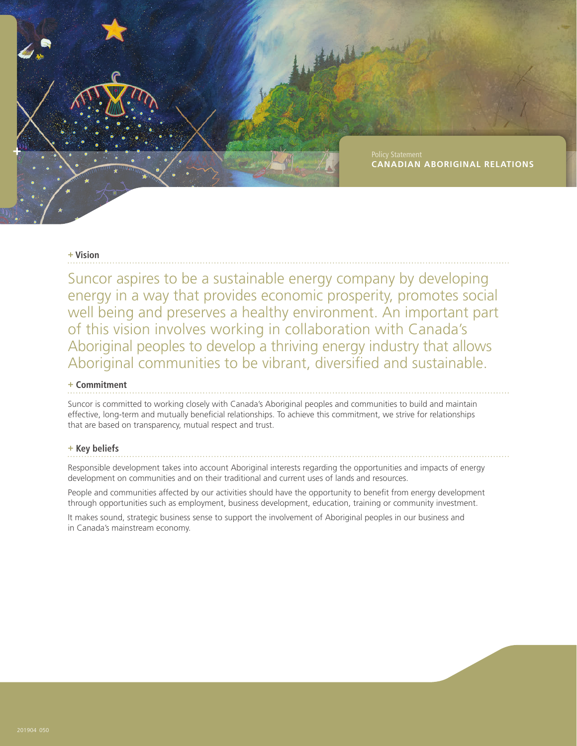

## **+ Vision**

Suncor aspires to be a sustainable energy company by developing energy in a way that provides economic prosperity, promotes social well being and preserves a healthy environment. An important part of this vision involves working in collaboration with Canada's Aboriginal peoples to develop a thriving energy industry that allows Aboriginal communities to be vibrant, diversified and sustainable.

# **+ Commitment**

Suncor is committed to working closely with Canada's Aboriginal peoples and communities to build and maintain effective, long-term and mutually beneficial relationships. To achieve this commitment, we strive for relationships that are based on transparency, mutual respect and trust.

#### **+ Key beliefs**

Responsible development takes into account Aboriginal interests regarding the opportunities and impacts of energy development on communities and on their traditional and current uses of lands and resources.

People and communities affected by our activities should have the opportunity to benefit from energy development through opportunities such as employment, business development, education, training or community investment.

It makes sound, strategic business sense to support the involvement of Aboriginal peoples in our business and in Canada's mainstream economy.